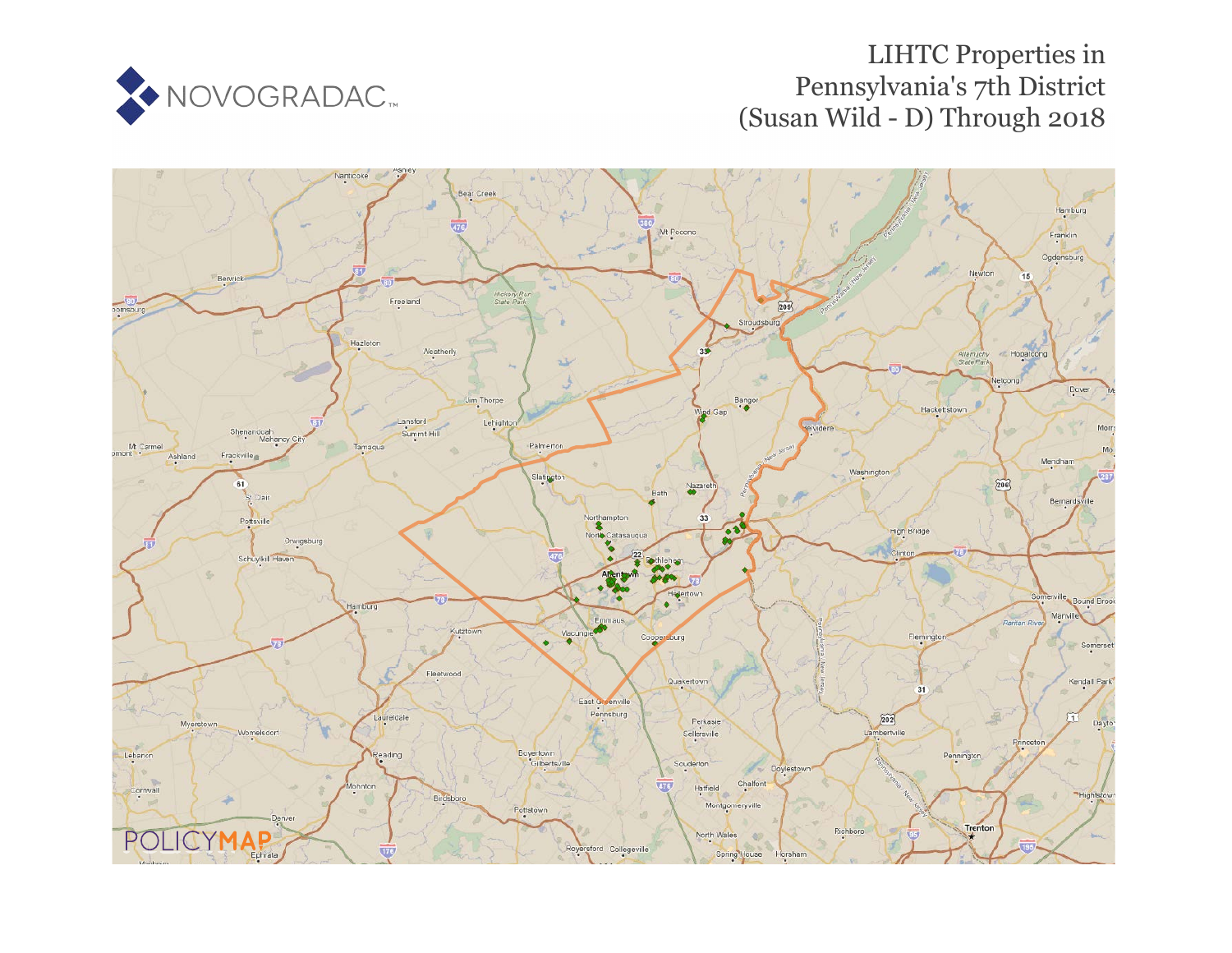

# LIHTC Properties in Pennsylvania's 7th District (Susan Wild - D) Through 2018

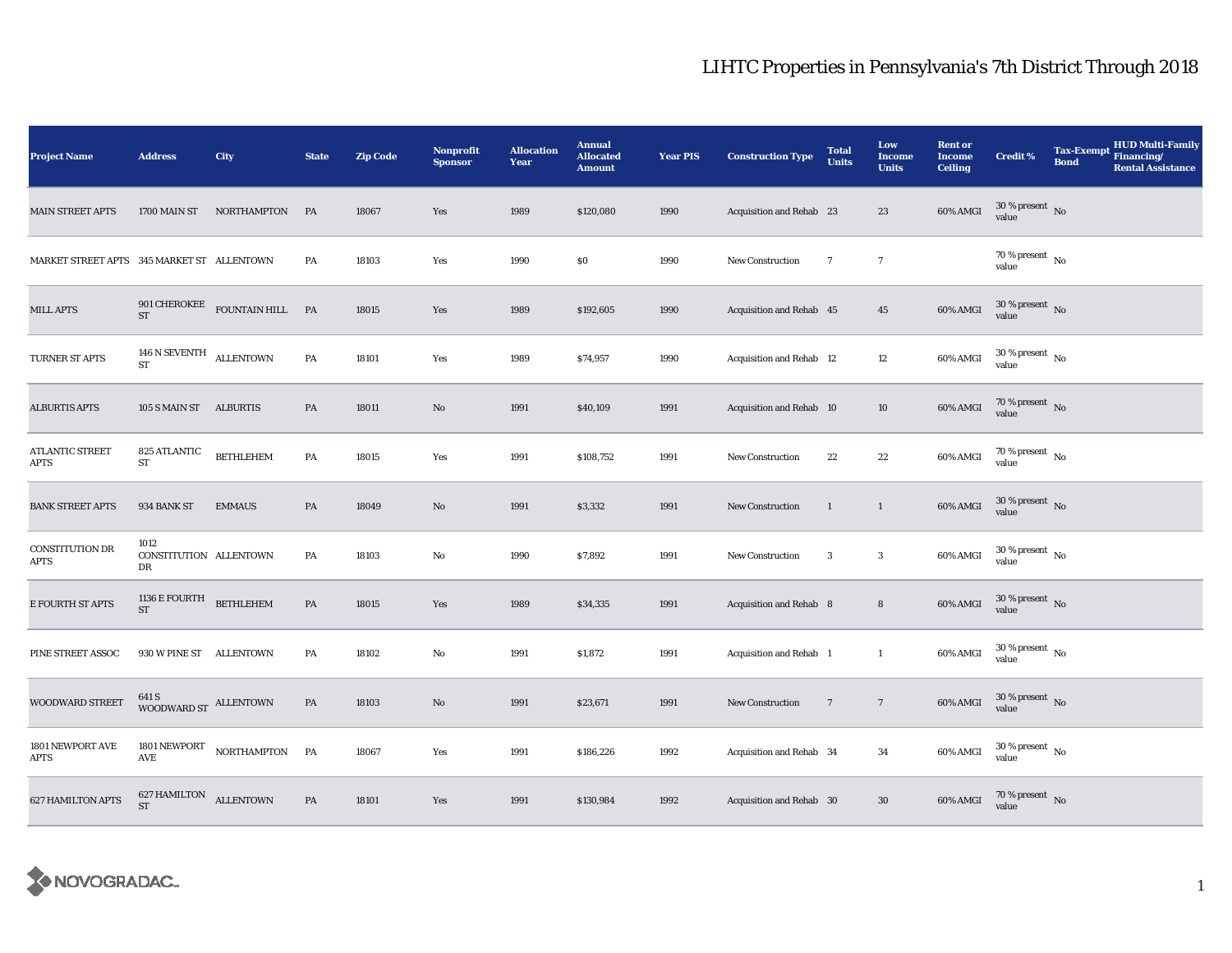| <b>Project Name</b>                        | <b>Address</b>                        | City                          | <b>State</b>  | <b>Zip Code</b> | <b>Nonprofit</b><br><b>Sponsor</b> | <b>Allocation</b><br>Year | <b>Annual</b><br><b>Allocated</b><br><b>Amount</b> | <b>Year PIS</b> | <b>Construction Type</b> | <b>Total</b><br><b>Units</b> | Low<br><b>Income</b><br><b>Units</b> | <b>Rent or</b><br><b>Income</b><br><b>Ceiling</b> | <b>Credit %</b>                          | <b>HUD Multi-Family</b><br>Tax-Exempt Financing/<br><b>Bond</b><br><b>Rental Assistance</b> |
|--------------------------------------------|---------------------------------------|-------------------------------|---------------|-----------------|------------------------------------|---------------------------|----------------------------------------------------|-----------------|--------------------------|------------------------------|--------------------------------------|---------------------------------------------------|------------------------------------------|---------------------------------------------------------------------------------------------|
| <b>MAIN STREET APTS</b>                    | 1700 MAIN ST                          | NORTHAMPTON                   | <b>PA</b>     | 18067           | Yes                                | 1989                      | \$120,080                                          | 1990            | Acquisition and Rehab 23 |                              | 23                                   | 60% AMGI                                          | $30$ % present $\,$ No value             |                                                                                             |
| MARKET STREET APTS 345 MARKET ST ALLENTOWN |                                       |                               | PA            | 18103           | Yes                                | 1990                      | \$0                                                | 1990            | New Construction         | $\tau$                       | $\tau$                               |                                                   | $70\%$ present $\overline{N_0}$<br>value |                                                                                             |
| <b>MILL APTS</b>                           | <b>ST</b>                             | 901 CHEROKEE FOUNTAIN HILL PA |               | 18015           | Yes                                | 1989                      | \$192,605                                          | 1990            | Acquisition and Rehab 45 |                              | 45                                   | 60% AMGI                                          | $30$ % present $\,$ No value             |                                                                                             |
| TURNER ST APTS                             | 146 N SEVENTH ALLENTOWN<br>${\rm ST}$ |                               | PA            | 18101           | Yes                                | 1989                      | \$74,957                                           | 1990            | Acquisition and Rehab 12 |                              | 12                                   | 60% AMGI                                          | $30$ % present $\,$ No value             |                                                                                             |
| <b>ALBURTIS APTS</b>                       | 105 S MAIN ST ALBURTIS                |                               | PA            | 18011           | No                                 | 1991                      | \$40,109                                           | 1991            | Acquisition and Rehab 10 |                              | 10                                   | 60% AMGI                                          | $70\,\%$ present $\,$ No value           |                                                                                             |
| ATLANTIC STREET<br>APTS                    | 825 ATLANTIC<br>${\rm ST}$            | <b>BETHLEHEM</b>              | PA            | 18015           | Yes                                | 1991                      | \$108,752                                          | 1991            | <b>New Construction</b>  | 22                           | $22\,$                               | 60% AMGI                                          | $70\,\%$ present $\,$ No value           |                                                                                             |
| <b>BANK STREET APTS</b>                    | 934 BANK ST                           | <b>EMMAUS</b>                 | PA            | 18049           | No                                 | 1991                      | \$3,332                                            | 1991            | <b>New Construction</b>  | $\mathbf{1}$                 | $\mathbf{1}$                         | 60% AMGI                                          | $30\,\%$ present $\,$ No value           |                                                                                             |
| CONSTITUTION DR<br>APTS                    | 1012<br>CONSTITUTION ALLENTOWN<br>DR  |                               | PA            | 18103           | $\rm No$                           | 1990                      | \$7,892                                            | 1991            | <b>New Construction</b>  | $\boldsymbol{3}$             | $\boldsymbol{3}$                     | 60% AMGI                                          | $30\,\%$ present $\,$ No value           |                                                                                             |
| E FOURTH ST APTS                           | 1136 E FOURTH<br>$\operatorname{ST}$  | <b>BETHLEHEM</b>              | $\mathbf{PA}$ | 18015           | Yes                                | 1989                      | \$34,335                                           | 1991            | Acquisition and Rehab 8  |                              | $\bf 8$                              | 60% AMGI                                          | $30\,\%$ present $\,$ No value           |                                                                                             |
| PINE STREET ASSOC                          | 930 W PINE ST ALLENTOWN               |                               | PA            | 18102           | No                                 | 1991                      | \$1,872                                            | 1991            | Acquisition and Rehab 1  |                              | $\mathbf{1}$                         | 60% AMGI                                          | $30\,\%$ present $\,$ No value           |                                                                                             |
| <b>WOODWARD STREET</b>                     | 641 S<br>WOODWARD ST ALLENTOWN        |                               | PA            | 18103           | No                                 | 1991                      | \$23,671                                           | 1991            | <b>New Construction</b>  | $\overline{7}$               | $7\phantom{.0}$                      | 60% AMGI                                          | $30\,\%$ present $\,$ No value           |                                                                                             |
| 1801 NEWPORT AVE<br>APTS                   | $\mathbf{A}\mathbf{V}\mathbf{E}$      | 1801 NEWPORT NORTHAMPTON      | PA            | 18067           | Yes                                | 1991                      | \$186,226                                          | 1992            | Acquisition and Rehab 34 |                              | $\bf{34}$                            | 60% AMGI                                          | $30\,\%$ present $\,$ No value           |                                                                                             |
| <b>627 HAMILTON APTS</b>                   | 627 HAMILTON ALLENTOWN<br><b>ST</b>   |                               | PA            | 18101           | Yes                                | 1991                      | \$130,984                                          | 1992            | Acquisition and Rehab 30 |                              | $30\,$                               | 60% AMGI                                          | $70\,\%$ present $\,$ No value           |                                                                                             |

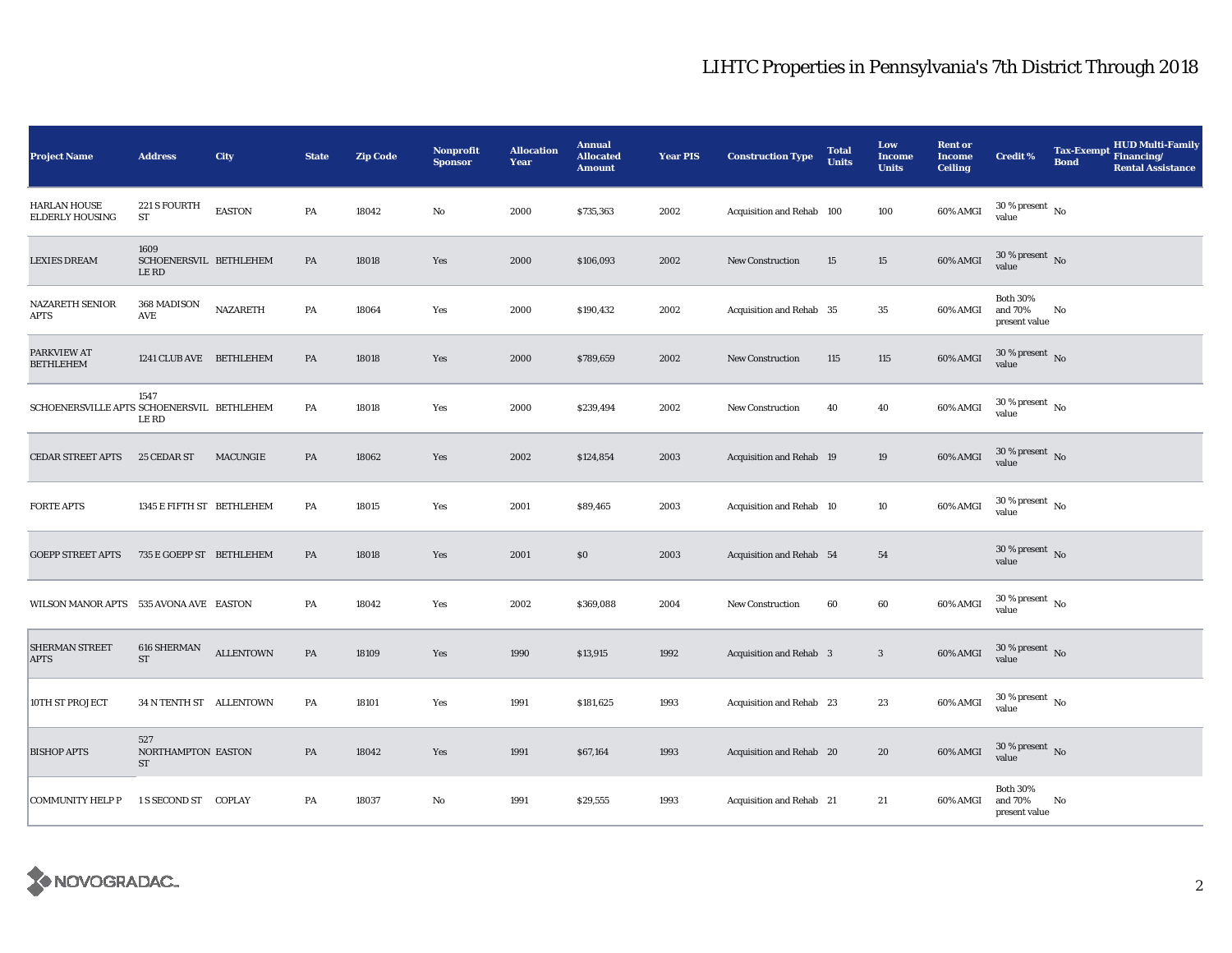| <b>Project Name</b>                           | <b>Address</b>                                | City             | <b>State</b> | <b>Zip Code</b> | <b>Nonprofit</b><br><b>Sponsor</b> | <b>Allocation</b><br>Year | <b>Annual</b><br><b>Allocated</b><br><b>Amount</b> | <b>Year PIS</b> | <b>Construction Type</b>       | <b>Total</b><br><b>Units</b> | Low<br><b>Income</b><br><b>Units</b> | <b>Rent or</b><br><b>Income</b><br><b>Ceiling</b> | <b>Credit %</b>                             | Tax-Exempt Financing/<br><b>Bond</b> | <b>HUD Multi-Family</b><br><b>Rental Assistance</b> |
|-----------------------------------------------|-----------------------------------------------|------------------|--------------|-----------------|------------------------------------|---------------------------|----------------------------------------------------|-----------------|--------------------------------|------------------------------|--------------------------------------|---------------------------------------------------|---------------------------------------------|--------------------------------------|-----------------------------------------------------|
| <b>HARLAN HOUSE</b><br><b>ELDERLY HOUSING</b> | 221 S FOURTH<br>ST                            | <b>EASTON</b>    | PA           | 18042           | $\rm No$                           | 2000                      | \$735,363                                          | 2002            | Acquisition and Rehab 100      |                              | 100                                  | 60% AMGI                                          | $30$ % present $\,$ No $\,$<br>value        |                                      |                                                     |
| <b>LEXIES DREAM</b>                           | 1609<br>SCHOENERSVIL BETHLEHEM<br><b>LERD</b> |                  | PA           | 18018           | Yes                                | 2000                      | \$106,093                                          | 2002            | <b>New Construction</b>        | 15                           | 15                                   | 60% AMGI                                          | $30\,\%$ present $\,$ No $\,$<br>value      |                                      |                                                     |
| <b>NAZARETH SENIOR</b><br>APTS                | 368 MADISON<br>AVE                            | <b>NAZARETH</b>  | PA           | 18064           | Yes                                | 2000                      | \$190,432                                          | 2002            | Acquisition and Rehab 35       |                              | $\bf 35$                             | 60% AMGI                                          | <b>Both 30%</b><br>and 70%<br>present value | No                                   |                                                     |
| PARKVIEW AT<br><b>BETHLEHEM</b>               | 1241 CLUB AVE BETHLEHEM                       |                  | PA           | 18018           | Yes                                | 2000                      | \$789,659                                          | 2002            | <b>New Construction</b>        | 115                          | 115                                  | 60% AMGI                                          | $30$ % present $\,$ No $\,$<br>value        |                                      |                                                     |
| SCHOENERSVILLE APTS SCHOENERSVIL BETHLEHEM    | 1547<br><b>LE RD</b>                          |                  | PA           | 18018           | Yes                                | 2000                      | \$239,494                                          | 2002            | <b>New Construction</b>        | 40                           | 40                                   | 60% AMGI                                          | $30$ % present $\,$ No $\,$<br>value        |                                      |                                                     |
| <b>CEDAR STREET APTS</b>                      | 25 CEDAR ST                                   | MACUNGIE         | PA           | 18062           | Yes                                | 2002                      | \$124,854                                          | 2003            | Acquisition and Rehab 19       |                              | 19                                   | 60% AMGI                                          | $30$ % present $\,$ No $\,$<br>value        |                                      |                                                     |
| <b>FORTE APTS</b>                             | 1345 E FIFTH ST BETHLEHEM                     |                  | PA           | 18015           | Yes                                | 2001                      | \$89,465                                           | 2003            | Acquisition and Rehab 10       |                              | 10                                   | 60% AMGI                                          | $30\,\%$ present $\,$ No value              |                                      |                                                     |
| <b>GOEPP STREET APTS</b>                      | 735 E GOEPP ST BETHLEHEM                      |                  | PA           | 18018           | Yes                                | 2001                      | \$0                                                | 2003            | Acquisition and Rehab 54       |                              | 54                                   |                                                   | $30\%$ present No<br>value                  |                                      |                                                     |
| WILSON MANOR APTS 535 AVONA AVE EASTON        |                                               |                  | PA           | 18042           | Yes                                | 2002                      | \$369,088                                          | 2004            | <b>New Construction</b>        | 60                           | 60                                   | 60% AMGI                                          | $30\,\%$ present $\,$ No value              |                                      |                                                     |
| SHERMAN STREET<br>APTS                        | 616 SHERMAN<br>${\rm ST}$                     | <b>ALLENTOWN</b> | PA           | 18109           | Yes                                | 1990                      | \$13,915                                           | 1992            | <b>Acquisition and Rehab</b> 3 |                              | $\mathbf{3}$                         | 60% AMGI                                          | 30 % present $\overline{N_0}$<br>value      |                                      |                                                     |
| 10TH ST PROJECT                               | 34 N TENTH ST ALLENTOWN                       |                  | PA           | 18101           | Yes                                | 1991                      | \$181,625                                          | 1993            | Acquisition and Rehab 23       |                              | 23                                   | 60% AMGI                                          | $30$ % present $\,$ No $\,$<br>value        |                                      |                                                     |
| <b>BISHOP APTS</b>                            | 527<br>NORTHAMPTON EASTON<br>ST               |                  | PA           | 18042           | Yes                                | 1991                      | \$67,164                                           | 1993            | Acquisition and Rehab 20       |                              | 20                                   | 60% AMGI                                          | $30$ % present $\,$ No $\,$<br>value        |                                      |                                                     |
| <b>COMMUNITY HELP P</b>                       | 1 S SECOND ST COPLAY                          |                  | PA           | 18037           | No                                 | 1991                      | \$29,555                                           | 1993            | Acquisition and Rehab 21       |                              | 21                                   | 60% AMGI                                          | <b>Both 30%</b><br>and 70%<br>present value | No                                   |                                                     |

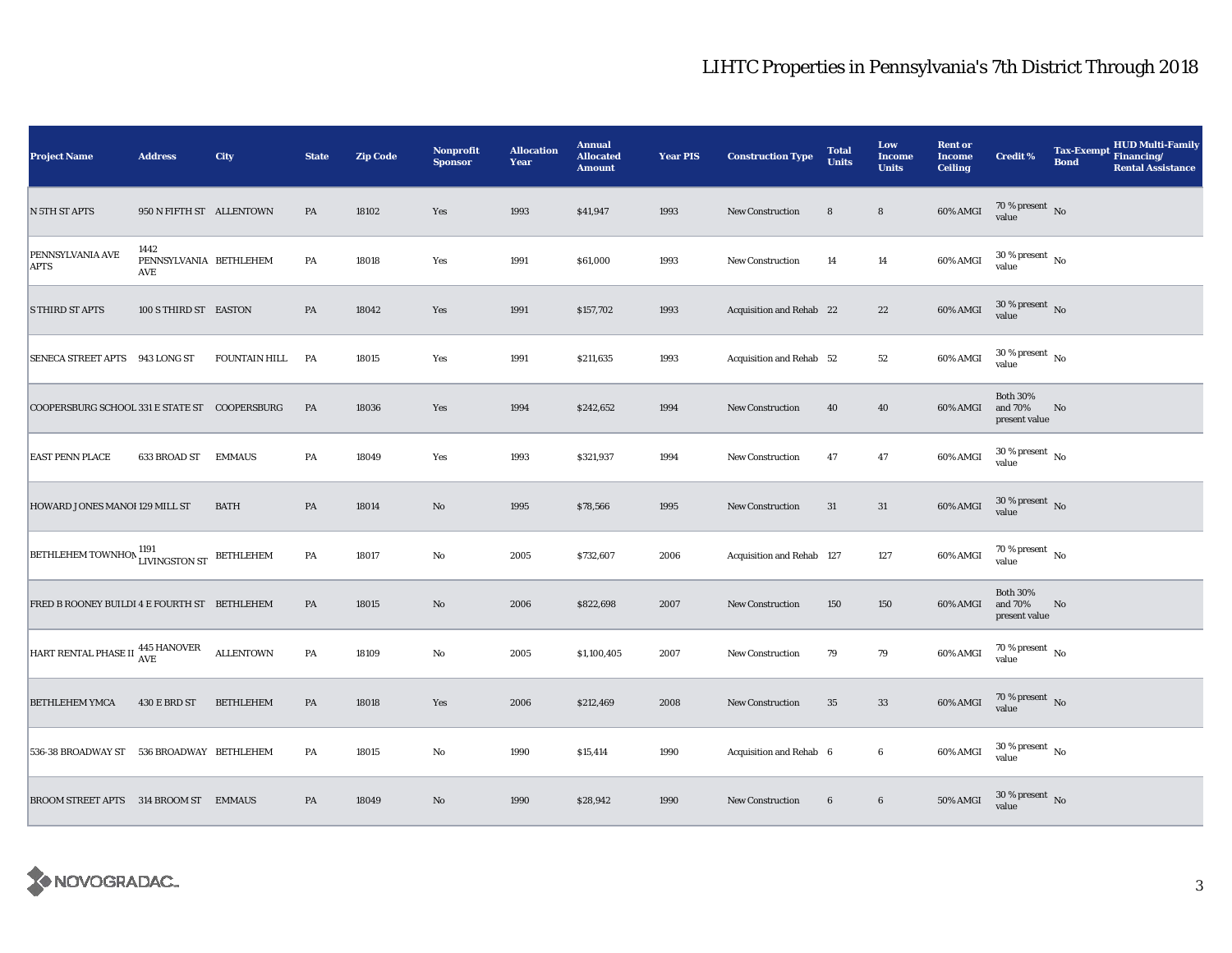| <b>Project Name</b>                            | <b>Address</b>                        | City                 | <b>State</b> | <b>Zip Code</b> | <b>Nonprofit</b><br><b>Sponsor</b> | <b>Allocation</b><br>Year | <b>Annual</b><br><b>Allocated</b><br><b>Amount</b> | <b>Year PIS</b> | <b>Construction Type</b>  | <b>Total</b><br><b>Units</b> | Low<br>Income<br><b>Units</b> | <b>Rent or</b><br><b>Income</b><br><b>Ceiling</b> | <b>Credit %</b>                             | <b>Tax-Exempt</b><br><b>Bond</b> | <b>HUD Multi-Family</b><br>Financing/<br><b>Rental Assistance</b> |
|------------------------------------------------|---------------------------------------|----------------------|--------------|-----------------|------------------------------------|---------------------------|----------------------------------------------------|-----------------|---------------------------|------------------------------|-------------------------------|---------------------------------------------------|---------------------------------------------|----------------------------------|-------------------------------------------------------------------|
| N 5TH ST APTS                                  | 950 N FIFTH ST ALLENTOWN              |                      | PA           | 18102           | Yes                                | 1993                      | \$41,947                                           | 1993            | <b>New Construction</b>   | 8                            | $\bf 8$                       | 60% AMGI                                          | $70\,\%$ present $\,$ No value              |                                  |                                                                   |
| PENNSYLVANIA AVE<br><b>APTS</b>                | 1442<br>PENNSYLVANIA BETHLEHEM<br>AVE |                      | PA           | 18018           | Yes                                | 1991                      | \$61,000                                           | 1993            | New Construction          | 14                           | 14                            | 60% AMGI                                          | $30\,\%$ present $\,$ No $\,$<br>value      |                                  |                                                                   |
| <b>S THIRD ST APTS</b>                         | 100 S THIRD ST EASTON                 |                      | PA           | 18042           | Yes                                | 1991                      | \$157,702                                          | 1993            | Acquisition and Rehab 22  |                              | $2\sqrt{2}$                   | 60% AMGI                                          | $30\,\%$ present $\,$ No $\,$<br>value      |                                  |                                                                   |
| SENECA STREET APTS 943 LONG ST                 |                                       | <b>FOUNTAIN HILL</b> | <b>PA</b>    | 18015           | Yes                                | 1991                      | \$211,635                                          | 1993            | Acquisition and Rehab 52  |                              | 52                            | 60% AMGI                                          | $30$ % present $\,$ No $\,$<br>value        |                                  |                                                                   |
| COOPERSBURG SCHOOL 331 E STATE ST COOPERSBURG  |                                       |                      | PA           | 18036           | Yes                                | 1994                      | \$242,652                                          | 1994            | <b>New Construction</b>   | 40                           | 40                            | 60% AMGI                                          | <b>Both 30%</b><br>and 70%<br>present value | No                               |                                                                   |
| <b>EAST PENN PLACE</b>                         | 633 BROAD ST                          | <b>EMMAUS</b>        | PA           | 18049           | Yes                                | 1993                      | \$321,937                                          | 1994            | <b>New Construction</b>   | 47                           | 47                            | 60% AMGI                                          | $30\,\%$ present $\,$ No value              |                                  |                                                                   |
| HOWARD JONES MANOI 129 MILL ST                 |                                       | <b>BATH</b>          | PA           | 18014           | $\mathbf{N}\mathbf{o}$             | 1995                      | \$78,566                                           | 1995            | <b>New Construction</b>   | 31                           | 31                            | 60% AMGI                                          | $30\,\%$ present $\,$ No value              |                                  |                                                                   |
| <b>BETHLEHEM TOWNHON 1191</b><br>LIVINGSTON ST |                                       | BETHLEHEM            | ${\bf PA}$   | 18017           | No                                 | 2005                      | \$732,607                                          | 2006            | Acquisition and Rehab 127 |                              | 127                           | 60% AMGI                                          | $70\,\%$ present $\,$ No $\,$<br>value      |                                  |                                                                   |
| FRED B ROONEY BUILDI 4 E FOURTH ST BETHLEHEM   |                                       |                      | PA           | 18015           | $\rm No$                           | 2006                      | \$822,698                                          | 2007            | New Construction          | 150                          | 150                           | 60% AMGI                                          | <b>Both 30%</b><br>and 70%<br>present value | No                               |                                                                   |
| HART RENTAL PHASE II 445 HANOVER               |                                       | <b>ALLENTOWN</b>     | PA           | 18109           | No                                 | 2005                      | \$1,100,405                                        | 2007            | <b>New Construction</b>   | 79                           | 79                            | 60% AMGI                                          | $70$ % present $\,$ No $\,$<br>value        |                                  |                                                                   |
| <b>BETHLEHEM YMCA</b>                          | 430 E BRD ST                          | <b>BETHLEHEM</b>     | PA           | 18018           | Yes                                | 2006                      | \$212,469                                          | 2008            | <b>New Construction</b>   | 35                           | $33\,$                        | 60% AMGI                                          | 70 % present $\hbox{~No}$<br>value          |                                  |                                                                   |
| 536-38 BROADWAY ST 536 BROADWAY BETHLEHEM      |                                       |                      | PA           | 18015           | No                                 | 1990                      | \$15,414                                           | 1990            | Acquisition and Rehab 6   |                              | $\bf 6$                       | 60% AMGI                                          | $30\,\%$ present $\,$ No value              |                                  |                                                                   |
| BROOM STREET APTS 314 BROOM ST EMMAUS          |                                       |                      | PA           | 18049           | No                                 | 1990                      | \$28,942                                           | 1990            | <b>New Construction</b>   | $\bf 6$                      | $\bf 6$                       | 50% AMGI                                          | $30\,\%$ present $\,$ No value              |                                  |                                                                   |

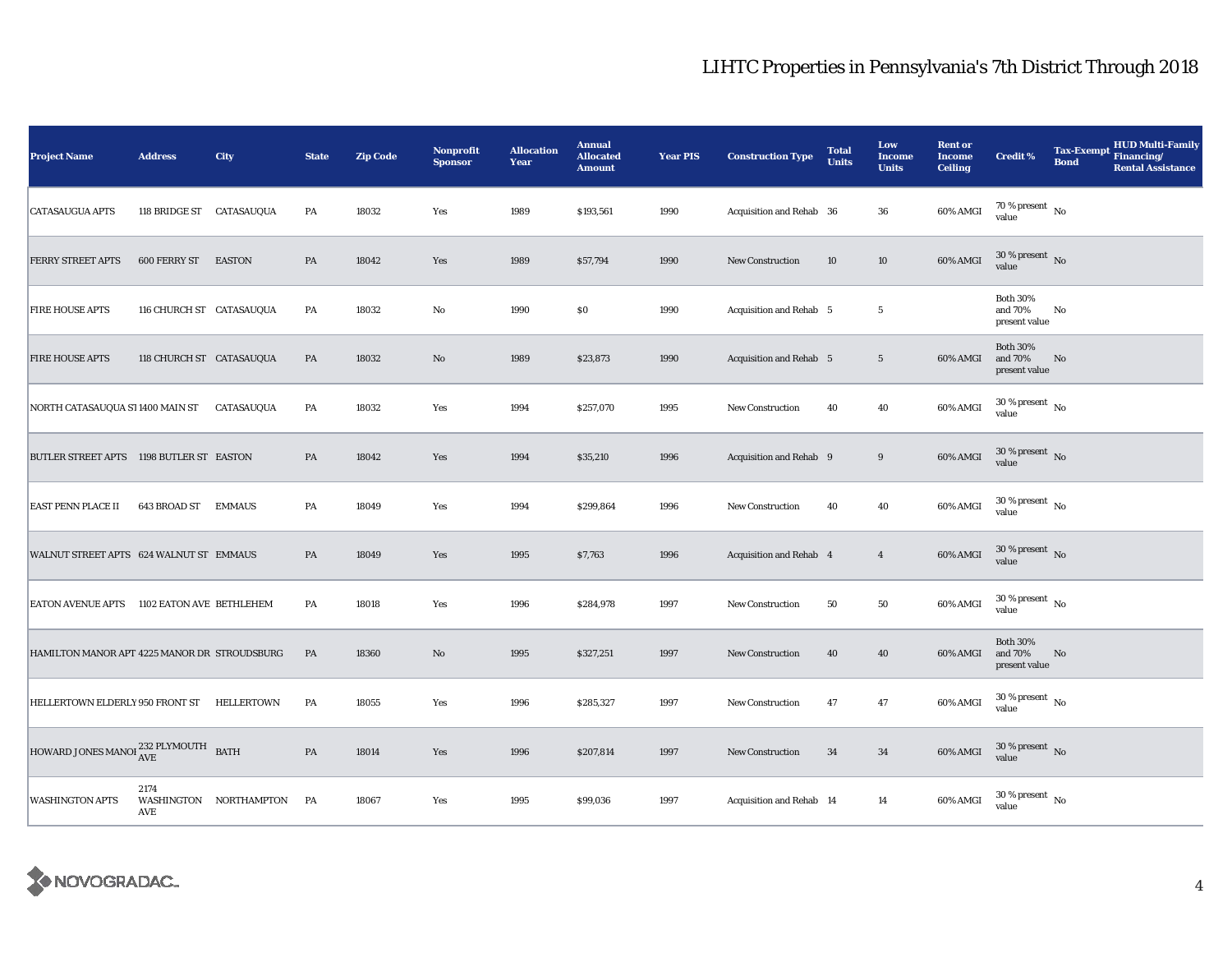| <b>Project Name</b>                                     | <b>Address</b>             | City                   | <b>State</b> | <b>Zip Code</b> | <b>Nonprofit</b><br><b>Sponsor</b> | <b>Allocation</b><br>Year | <b>Annual</b><br><b>Allocated</b><br><b>Amount</b> | <b>Year PIS</b> | <b>Construction Type</b> | <b>Total</b><br><b>Units</b> | Low<br>Income<br><b>Units</b> | <b>Rent or</b><br><b>Income</b><br><b>Ceiling</b> | <b>Credit %</b>                             | <b>Tax-Exempt</b><br><b>Bond</b> | <b>HUD Multi-Family</b><br>Financing/<br><b>Rental Assistance</b> |
|---------------------------------------------------------|----------------------------|------------------------|--------------|-----------------|------------------------------------|---------------------------|----------------------------------------------------|-----------------|--------------------------|------------------------------|-------------------------------|---------------------------------------------------|---------------------------------------------|----------------------------------|-------------------------------------------------------------------|
| <b>CATASAUGUA APTS</b>                                  | 118 BRIDGE ST CATASAUQUA   |                        | PA           | 18032           | Yes                                | 1989                      | \$193,561                                          | 1990            | Acquisition and Rehab 36 |                              | 36                            | 60% AMGI                                          | 70 % present $\hbox{~No}$<br>value          |                                  |                                                                   |
| FERRY STREET APTS                                       | <b>600 FERRY ST EASTON</b> |                        | PA           | 18042           | Yes                                | 1989                      | \$57,794                                           | 1990            | <b>New Construction</b>  | 10                           | 10                            | 60% AMGI                                          | $30\,\%$ present $\,$ No $\,$<br>value      |                                  |                                                                   |
| <b>FIRE HOUSE APTS</b>                                  | 116 CHURCH ST CATASAUQUA   |                        | PA           | 18032           | No                                 | 1990                      | \$0                                                | 1990            | Acquisition and Rehab 5  |                              | $\overline{5}$                |                                                   | <b>Both 30%</b><br>and 70%<br>present value | No                               |                                                                   |
| <b>FIRE HOUSE APTS</b>                                  | 118 CHURCH ST CATASAUQUA   |                        | PA           | 18032           | $\mathbf{N}\mathbf{o}$             | 1989                      | \$23,873                                           | 1990            | Acquisition and Rehab 5  |                              | $5\phantom{.0}$               | 60% AMGI                                          | <b>Both 30%</b><br>and 70%<br>present value | No                               |                                                                   |
| NORTH CATASAUQUA S'11400 MAIN ST                        |                            | CATASAUQUA             | PA           | 18032           | Yes                                | 1994                      | \$257,070                                          | 1995            | <b>New Construction</b>  | 40                           | 40                            | 60% AMGI                                          | $30$ % present $\,$ No $\,$<br>value        |                                  |                                                                   |
| BUTLER STREET APTS 1198 BUTLER ST EASTON                |                            |                        | PA           | 18042           | Yes                                | 1994                      | \$35,210                                           | 1996            | Acquisition and Rehab 9  |                              | 9                             | 60% AMGI                                          | $30\,\%$ present $\,$ No $\,$<br>value      |                                  |                                                                   |
| <b>EAST PENN PLACE II</b>                               | 643 BROAD ST               | <b>EMMAUS</b>          | PA           | 18049           | Yes                                | 1994                      | \$299,864                                          | 1996            | <b>New Construction</b>  | 40                           | 40                            | 60% AMGI                                          | $30\,\%$ present $_{\, \rm No}$<br>value    |                                  |                                                                   |
| WALNUT STREET APTS 624 WALNUT ST EMMAUS                 |                            |                        | PA           | 18049           | Yes                                | 1995                      | \$7,763                                            | 1996            | Acquisition and Rehab 4  |                              | $\overline{4}$                | 60% AMGI                                          | $30$ % present $\,$ No $\,$<br>value        |                                  |                                                                   |
| EATON AVENUE APTS 1102 EATON AVE BETHLEHEM              |                            |                        | PA           | 18018           | Yes                                | 1996                      | \$284,978                                          | 1997            | <b>New Construction</b>  | 50                           | 50                            | 60% AMGI                                          | $30$ % present $\,$ No $\,$<br>value        |                                  |                                                                   |
| HAMILTON MANOR APT 4225 MANOR DR STROUDSBURG            |                            |                        | PA           | 18360           | No                                 | 1995                      | \$327,251                                          | 1997            | <b>New Construction</b>  | 40                           | 40                            | 60% AMGI                                          | <b>Both 30%</b><br>and 70%<br>present value | No                               |                                                                   |
| HELLERTOWN ELDERLY 950 FRONT ST                         |                            | HELLERTOWN             | PA           | 18055           | Yes                                | 1996                      | \$285,327                                          | 1997            | New Construction         | 47                           | 47                            | 60% AMGI                                          | $30$ % present $\,$ No $\,$<br>value        |                                  |                                                                   |
| HOWARD JONES MANOI $_{\rm AVE}^{232\rm ~PLYMOUTH}$ BATH |                            |                        | PA           | 18014           | Yes                                | 1996                      | \$207,814                                          | 1997            | <b>New Construction</b>  | 34                           | 34                            | 60% AMGI                                          | $30\,\%$ present $\,$ No value              |                                  |                                                                   |
| <b>WASHINGTON APTS</b>                                  | 2174<br>AVE                | WASHINGTON NORTHAMPTON | PA           | 18067           | Yes                                | 1995                      | \$99,036                                           | 1997            | Acquisition and Rehab 14 |                              | 14                            | 60% AMGI                                          | 30 % present $\,$ No $\,$<br>value          |                                  |                                                                   |

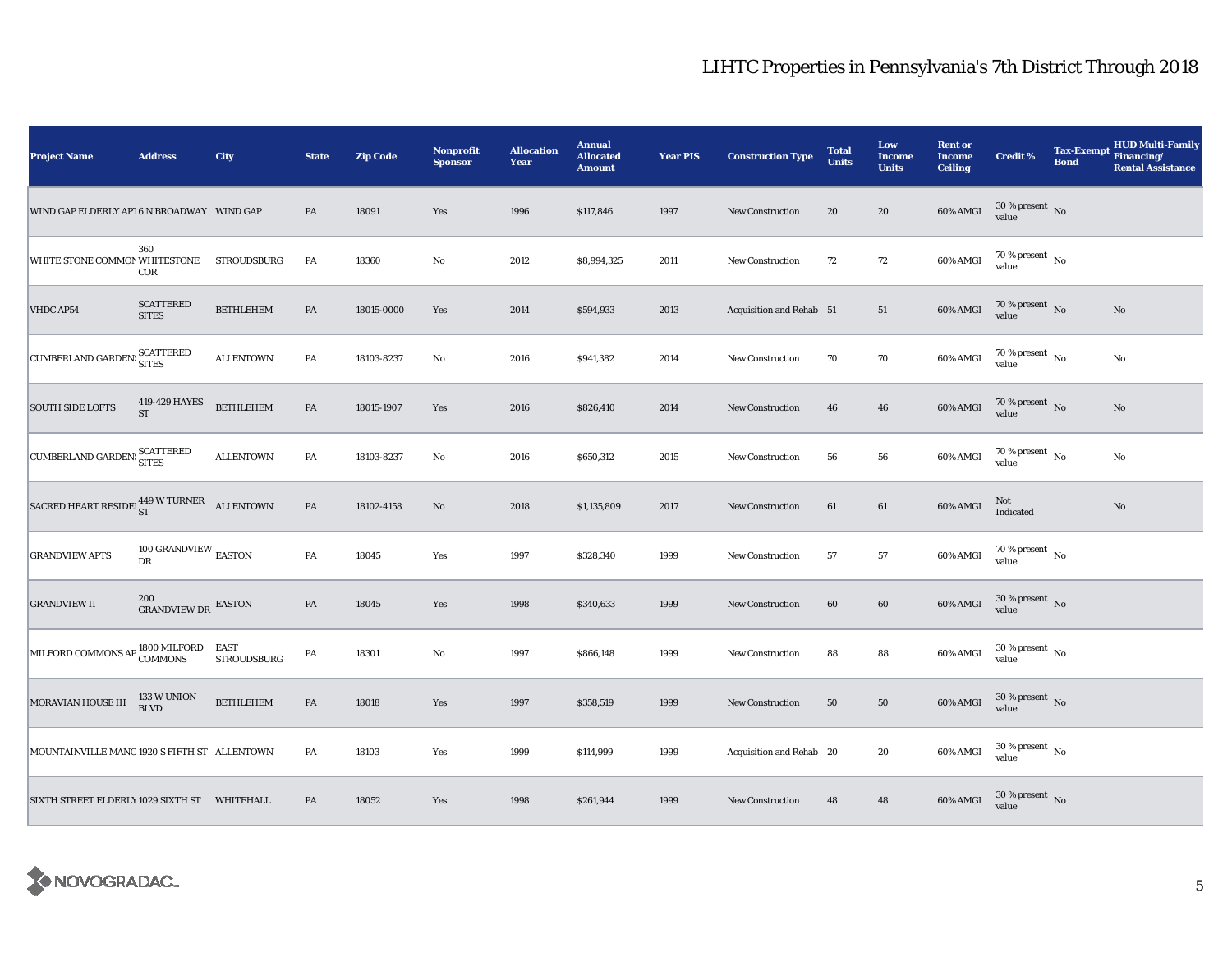| <b>Project Name</b>                                  | <b>Address</b>                       | City               | <b>State</b>  | <b>Zip Code</b> | <b>Nonprofit</b><br><b>Sponsor</b> | <b>Allocation</b><br>Year | <b>Annual</b><br><b>Allocated</b><br><b>Amount</b> | <b>Year PIS</b> | <b>Construction Type</b> | <b>Total</b><br><b>Units</b> | Low<br><b>Income</b><br><b>Units</b> | <b>Rent or</b><br><b>Income</b><br><b>Ceiling</b> | <b>Credit %</b>                        | <b>Tax-Exempt</b><br><b>Bond</b> | <b>HUD Multi-Family</b><br>Financing/<br><b>Rental Assistance</b> |
|------------------------------------------------------|--------------------------------------|--------------------|---------------|-----------------|------------------------------------|---------------------------|----------------------------------------------------|-----------------|--------------------------|------------------------------|--------------------------------------|---------------------------------------------------|----------------------------------------|----------------------------------|-------------------------------------------------------------------|
| WIND GAP ELDERLY AP16 N BROADWAY WIND GAP            |                                      |                    | PA            | 18091           | Yes                                | 1996                      | \$117,846                                          | 1997            | New Construction         | 20                           | 20                                   | 60% AMGI                                          | $30\,\%$ present $\,$ No value         |                                  |                                                                   |
| WHITE STONE COMMON WHITESTONE                        | 360<br>COR                           | STROUDSBURG        | PA            | 18360           | $\mathbf{No}$                      | 2012                      | \$8,994,325                                        | 2011            | <b>New Construction</b>  | 72                           | $72\,$                               | 60% AMGI                                          | $70\,\%$ present $\,$ No $\,$<br>value |                                  |                                                                   |
| VHDC AP54                                            | <b>SCATTERED</b><br><b>SITES</b>     | <b>BETHLEHEM</b>   | PA            | 18015-0000      | Yes                                | 2014                      | \$594,933                                          | 2013            | Acquisition and Rehab 51 |                              | 51                                   | $60\%$ AMGI                                       | $70\,\%$ present $\,$ No value         |                                  | No                                                                |
| CUMBERLAND GARDEN: SCATTERED                         |                                      | <b>ALLENTOWN</b>   | PA            | 18103-8237      | No                                 | 2016                      | \$941,382                                          | 2014            | New Construction         | 70                           | 70                                   | 60% AMGI                                          | 70 % present $\hbox{~No}$<br>value     |                                  | No                                                                |
| <b>SOUTH SIDE LOFTS</b>                              | 419-429 HAYES<br>$\operatorname{ST}$ | <b>BETHLEHEM</b>   | PA            | 18015-1907      | Yes                                | 2016                      | \$826,410                                          | 2014            | New Construction         | 46                           | 46                                   | 60% AMGI                                          | $70\,\%$ present $${\rm No}$$ value    |                                  | No                                                                |
| CUMBERLAND GARDEN: SCATTERED                         |                                      | <b>ALLENTOWN</b>   | PA            | 18103-8237      | $\mathbf{No}$                      | 2016                      | \$650,312                                          | 2015            | New Construction         | 56                           | ${\bf 56}$                           | 60% AMGI                                          | 70 % present $\hbox{~No}$<br>value     |                                  | No                                                                |
| SACRED HEART RESIDE $_{ST}^{449}$ W TURNER ALLENTOWN |                                      |                    | $\mathbf{PA}$ | 18102-4158      | $\rm No$                           | 2018                      | \$1,135,809                                        | 2017            | <b>New Construction</b>  | 61                           | 61                                   | 60% AMGI                                          | Not<br>Indicated                       |                                  | No                                                                |
| <b>GRANDVIEW APTS</b>                                | 100 GRANDVIEW $_{\rm EASTON}$<br>DR  |                    | PA            | 18045           | Yes                                | 1997                      | \$328,340                                          | 1999            | <b>New Construction</b>  | 57                           | ${\bf 57}$                           | 60% AMGI                                          | $70\,\%$ present $\,$ No value         |                                  |                                                                   |
| <b>GRANDVIEW II</b>                                  | 200<br>GRANDVIEW DR EASTON           |                    | PA            | 18045           | Yes                                | 1998                      | \$340,633                                          | 1999            | New Construction         | 60                           | 60                                   | 60% AMGI                                          | $30$ % present $\,$ No $\,$<br>value   |                                  |                                                                   |
| MILFORD COMMONS AP COMMONS STRO                      |                                      | <b>STROUDSBURG</b> | PA            | 18301           | No                                 | 1997                      | \$866,148                                          | 1999            | <b>New Construction</b>  | 88                           | 88                                   | 60% AMGI                                          | $30\,\%$ present $\,$ No $\,$<br>value |                                  |                                                                   |
| MORAVIAN HOUSE III                                   | 133 W UNION<br><b>BLVD</b>           | <b>BETHLEHEM</b>   | PA            | 18018           | Yes                                | 1997                      | \$358,519                                          | 1999            | New Construction         | 50                           | 50                                   | 60% AMGI                                          | $30\,\%$ present $\,$ No $\,$<br>value |                                  |                                                                   |
| MOUNTAINVILLE MANO 1920 S FIFTH ST ALLENTOWN         |                                      |                    | PA            | 18103           | Yes                                | 1999                      | \$114,999                                          | 1999            | Acquisition and Rehab 20 |                              | 20                                   | 60% AMGI                                          | $30\,\%$ present $\,$ No value         |                                  |                                                                   |
| SIXTH STREET ELDERLY 1029 SIXTH ST WHITEHALL         |                                      |                    | PA            | 18052           | Yes                                | 1998                      | \$261,944                                          | 1999            | <b>New Construction</b>  | 48                           | 48                                   | 60% AMGI                                          | $30\,\%$ present $\,$ No value         |                                  |                                                                   |

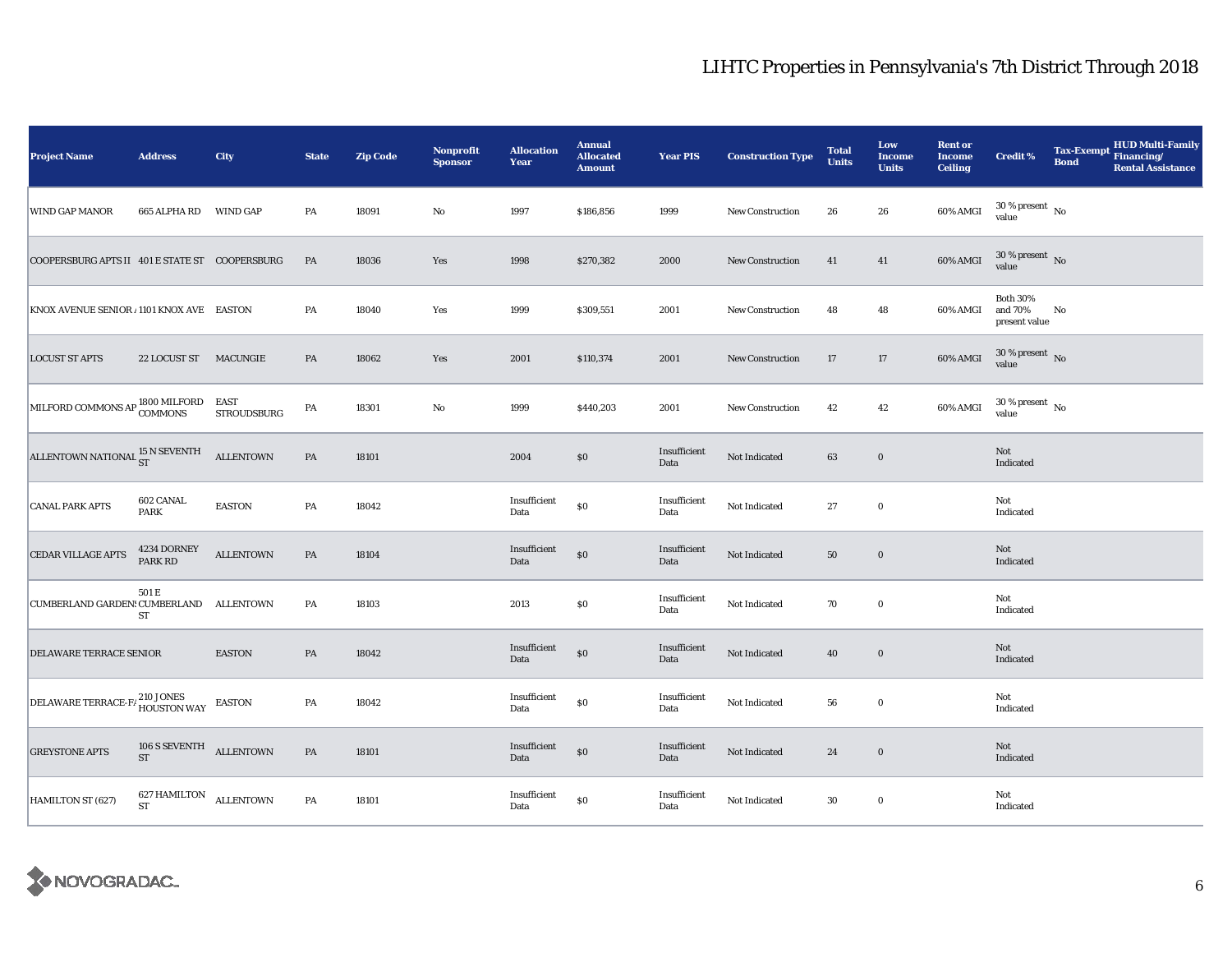| <b>Project Name</b>                            | <b>Address</b>                      | City                       | <b>State</b> | <b>Zip Code</b> | <b>Nonprofit</b><br><b>Sponsor</b> | <b>Allocation</b><br>Year | <b>Annual</b><br><b>Allocated</b><br><b>Amount</b> | <b>Year PIS</b>      | <b>Construction Type</b> | <b>Total</b><br><b>Units</b> | Low<br><b>Income</b><br><b>Units</b> | <b>Rent or</b><br><b>Income</b><br><b>Ceiling</b> | <b>Credit %</b>                             | <b>Bond</b> | Tax-Exempt HUD Multi-Family<br><b>Rental Assistance</b> |
|------------------------------------------------|-------------------------------------|----------------------------|--------------|-----------------|------------------------------------|---------------------------|----------------------------------------------------|----------------------|--------------------------|------------------------------|--------------------------------------|---------------------------------------------------|---------------------------------------------|-------------|---------------------------------------------------------|
| WIND GAP MANOR                                 | 665 ALPHA RD WIND GAP               |                            | PA           | 18091           | $\rm No$                           | 1997                      | \$186,856                                          | 1999                 | <b>New Construction</b>  | 26                           | 26                                   | 60% AMGI                                          | $30\,\%$ present $\,$ No value              |             |                                                         |
| COOPERSBURG APTS II 401 E STATE ST COOPERSBURG |                                     |                            | PA           | 18036           | Yes                                | 1998                      | \$270,382                                          | 2000                 | <b>New Construction</b>  | 41                           | 41                                   | 60% AMGI                                          | $30\,\%$ present $\,$ No $\,$<br>value      |             |                                                         |
| KNOX AVENUE SENIOR / 1101 KNOX AVE EASTON      |                                     |                            | PA           | 18040           | Yes                                | 1999                      | \$309,551                                          | 2001                 | New Construction         | 48                           | 48                                   | 60% AMGI                                          | <b>Both 30%</b><br>and 70%<br>present value | No          |                                                         |
| <b>LOCUST ST APTS</b>                          | 22 LOCUST ST MACUNGIE               |                            | PA           | 18062           | Yes                                | 2001                      | \$110,374                                          | 2001                 | <b>New Construction</b>  | 17                           | 17                                   | 60% AMGI                                          | $30$ % present $\,$ No $\,$<br>value        |             |                                                         |
| MILFORD COMMONS AP 1800 MILFORD                |                                     | EAST<br><b>STROUDSBURG</b> | PA           | 18301           | $\rm No$                           | 1999                      | \$440,203                                          | 2001                 | <b>New Construction</b>  | 42                           | 42                                   | 60% AMGI                                          | $30\,\%$ present $\,$ No value              |             |                                                         |
| ALLENTOWN NATIONAL $^{15}_{\rm ST}$ N SEVENTH  |                                     | <b>ALLENTOWN</b>           | PA           | 18101           |                                    | 2004                      | \$0                                                | Insufficient<br>Data | Not Indicated            | 63                           | $\bf{0}$                             |                                                   | Not<br>Indicated                            |             |                                                         |
| <b>CANAL PARK APTS</b>                         | 602 CANAL<br><b>PARK</b>            | <b>EASTON</b>              | PA           | 18042           |                                    | Insufficient<br>Data      | $\$0$                                              | Insufficient<br>Data | Not Indicated            | 27                           | $\bf{0}$                             |                                                   | Not<br>Indicated                            |             |                                                         |
| <b>CEDAR VILLAGE APTS</b>                      | 4234 DORNEY<br>PARK RD              | <b>ALLENTOWN</b>           | PA           | 18104           |                                    | Insufficient<br>Data      | \$0                                                | Insufficient<br>Data | Not Indicated            | ${\bf 50}$                   | $\mathbf 0$                          |                                                   | Not<br>Indicated                            |             |                                                         |
| CUMBERLAND GARDEN: CUMBERLAND ALLENTOWN        | 501 E<br>ST                         |                            | PA           | 18103           |                                    | 2013                      | \$0                                                | Insufficient<br>Data | Not Indicated            | 70                           | $\bf{0}$                             |                                                   | Not<br>Indicated                            |             |                                                         |
| DELAWARE TERRACE SENIOR                        |                                     | <b>EASTON</b>              | PA           | 18042           |                                    | Insufficient<br>Data      | \$0                                                | Insufficient<br>Data | Not Indicated            | 40                           | $\bf{0}$                             |                                                   | Not<br>Indicated                            |             |                                                         |
| DELAWARE TERRACE-F/210 JONES<br>HOUSTON WAY    |                                     | <b>EASTON</b>              | PA           | 18042           |                                    | Insufficient<br>Data      | $\$0$                                              | Insufficient<br>Data | Not Indicated            | 56                           | $\bf{0}$                             |                                                   | Not<br>Indicated                            |             |                                                         |
| <b>GREYSTONE APTS</b>                          | 106 S SEVENTH ALLENTOWN<br>ST       |                            | PA           | 18101           |                                    | Insufficient<br>Data      | \$0                                                | Insufficient<br>Data | Not Indicated            | 24                           | $\bf{0}$                             |                                                   | Not<br>Indicated                            |             |                                                         |
| HAMILTON ST (627)                              | 627 HAMILTON ALLENTOWN<br><b>ST</b> |                            | PA           | 18101           |                                    | Insufficient<br>Data      | $\$0$                                              | Insufficient<br>Data | Not Indicated            | $30\,$                       | $\bf{0}$                             |                                                   | Not<br>Indicated                            |             |                                                         |

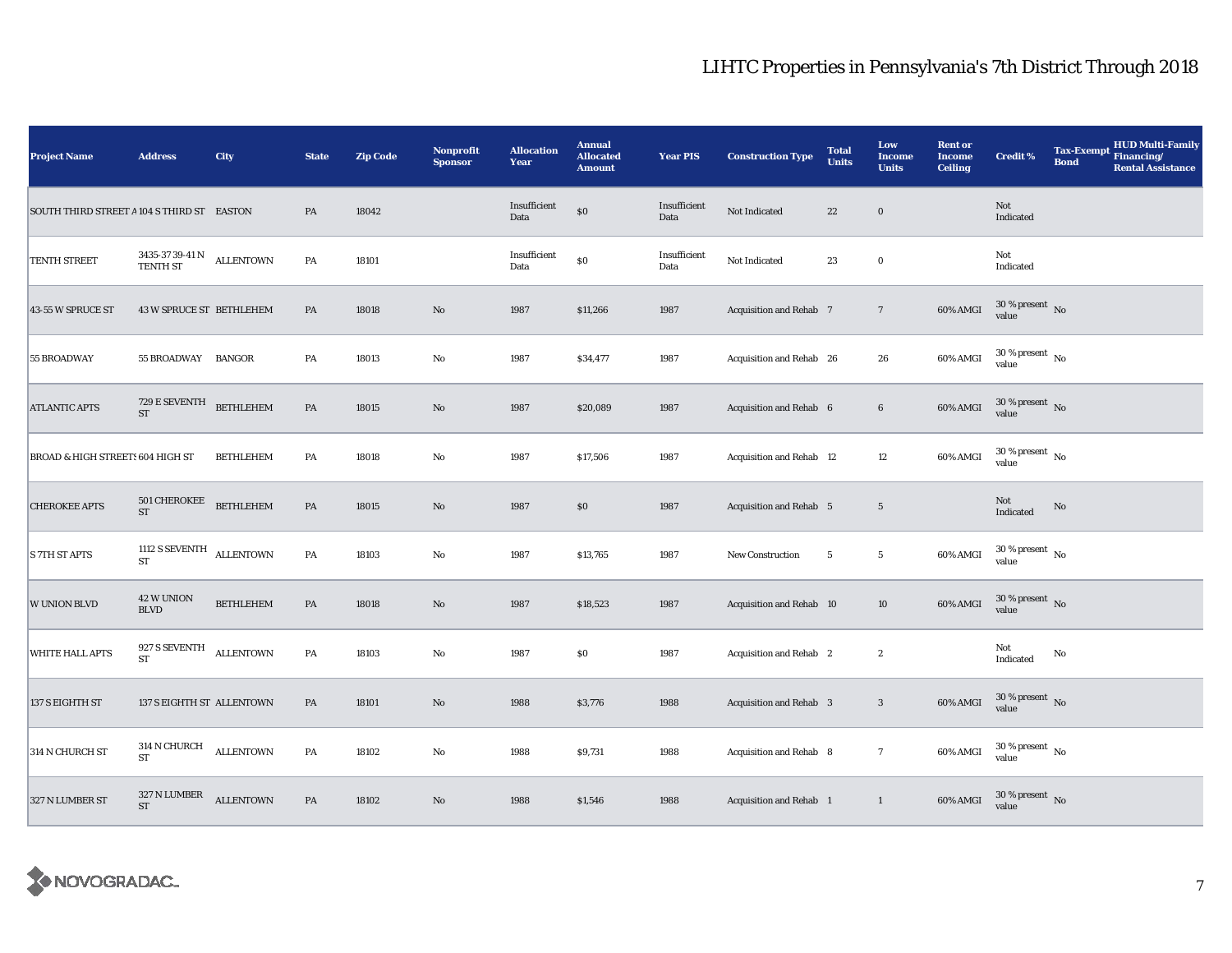| <b>Project Name</b>                         | <b>Address</b>                                          | City             | <b>State</b>  | <b>Zip Code</b> | Nonprofit<br><b>Sponsor</b> | <b>Allocation</b><br>Year | <b>Annual</b><br><b>Allocated</b><br><b>Amount</b> | <b>Year PIS</b>      | <b>Construction Type</b>       | <b>Total</b><br><b>Units</b> | Low<br><b>Income</b><br><b>Units</b> | <b>Rent or</b><br><b>Income</b><br><b>Ceiling</b> | <b>Credit %</b>                                   | <b>Tax-Exempt</b><br><b>Bond</b> | HUD Multi-Family<br>Financing/<br><b>Rental Assistance</b> |
|---------------------------------------------|---------------------------------------------------------|------------------|---------------|-----------------|-----------------------------|---------------------------|----------------------------------------------------|----------------------|--------------------------------|------------------------------|--------------------------------------|---------------------------------------------------|---------------------------------------------------|----------------------------------|------------------------------------------------------------|
| SOUTH THIRD STREET A 104 S THIRD ST EASTON  |                                                         |                  | PA            | 18042           |                             | Insufficient<br>Data      | $\$0$                                              | Insufficient<br>Data | Not Indicated                  | 22                           | $\mathbf 0$                          |                                                   | Not<br>Indicated                                  |                                  |                                                            |
| <b>TENTH STREET</b>                         | $3435\text{-}37$ 39-41 N $$\hbox{\,ALLENTOWN}\hbox{N}$$ |                  | PA            | 18101           |                             | Insufficient<br>Data      | $\$0$                                              | Insufficient<br>Data | Not Indicated                  | 23                           | $\mathbf 0$                          |                                                   | Not<br>Indicated                                  |                                  |                                                            |
| 43-55 W SPRUCE ST                           | <b>43 W SPRUCE ST BETHLEHEM</b>                         |                  | PA            | 18018           | $\rm No$                    | 1987                      | \$11,266                                           | 1987                 | Acquisition and Rehab 7        |                              | $7\phantom{.0}$                      | 60% AMGI                                          | $30\,\%$ present $\,$ No value                    |                                  |                                                            |
| 55 BROADWAY                                 | 55 BROADWAY BANGOR                                      |                  | PA            | 18013           | $\mathbf {No}$              | 1987                      | \$34,477                                           | 1987                 | Acquisition and Rehab 26       |                              | 26                                   | 60% AMGI                                          | $30\,\%$ present $\,$ No $\,$<br>value            |                                  |                                                            |
| <b>ATLANTIC APTS</b>                        | 729 E SEVENTH<br>$\operatorname{ST}$                    | <b>BETHLEHEM</b> | PA            | 18015           | $\rm No$                    | 1987                      | \$20,089                                           | 1987                 | Acquisition and Rehab 6        |                              | $\bf 6$                              | 60% AMGI                                          | $30$ % present $\,$ No $\,$<br>value              |                                  |                                                            |
| <b>BROAD &amp; HIGH STREETS 604 HIGH ST</b> |                                                         | <b>BETHLEHEM</b> | PA            | 18018           | $\rm No$                    | 1987                      | \$17,506                                           | 1987                 | Acquisition and Rehab 12       |                              | $12\,$                               | 60% AMGI                                          | $30\,\%$ present $\,$ No value                    |                                  |                                                            |
| <b>CHEROKEE APTS</b>                        | 501 CHEROKEE BETHLEHEM<br><b>ST</b>                     |                  | $\mathbf{PA}$ | 18015           | No                          | 1987                      | \$0                                                | 1987                 | <b>Acquisition and Rehab</b> 5 |                              | $5\phantom{.0}$                      |                                                   | Not<br>$\label{thm:indicated} \textbf{Indicated}$ | No                               |                                                            |
| <b>S 7TH ST APTS</b>                        | 1112 S SEVENTH ALLENTOWN<br><b>ST</b>                   |                  | $\mathbf{PA}$ | 18103           | $\mathbf {No}$              | 1987                      | \$13,765                                           | 1987                 | New Construction               | $5\overline{)}$              | $5\phantom{.0}$                      | 60% AMGI                                          | $30\,\%$ present $\,$ No value                    |                                  |                                                            |
| <b>W UNION BLVD</b>                         | 42 W UNION<br><b>BLVD</b>                               | <b>BETHLEHEM</b> | PA            | 18018           | $\rm No$                    | 1987                      | \$18,523                                           | 1987                 | Acquisition and Rehab 10       |                              | 10                                   | 60% AMGI                                          | $30$ % present $\,$ No $\,$<br>value              |                                  |                                                            |
| <b>WHITE HALL APTS</b>                      | 927 S SEVENTH<br>ST                                     | <b>ALLENTOWN</b> | PA            | 18103           | $\mathbf {No}$              | 1987                      | $\$0$                                              | 1987                 | <b>Acquisition and Rehab</b> 2 |                              | $\boldsymbol{2}$                     |                                                   | Not<br>Indicated                                  | $\mathbf{No}$                    |                                                            |
| 137 S EIGHTH ST                             | 137 S EIGHTH ST ALLENTOWN                               |                  | PA            | 18101           | $\rm\thinspace No$          | 1988                      | \$3,776                                            | 1988                 | Acquisition and Rehab 3        |                              | $\boldsymbol{3}$                     | 60% AMGI                                          | $30$ % present $\,$ No $\,$<br>value              |                                  |                                                            |
| 314 N CHURCH ST                             | $314$ N CHURCH $\quad$ ALLENTOWN<br>${\rm ST}$          |                  | $\mathbf{PA}$ | 18102           | $\mathbf {No}$              | 1988                      | \$9,731                                            | 1988                 | Acquisition and Rehab 8        |                              | $\tau$                               | 60% AMGI                                          | $30\,\%$ present $\,$ No value                    |                                  |                                                            |
| 327 N LUMBER ST                             | $327$ N LUMBER ALLENTOWN<br><b>ST</b>                   |                  | $\mathbf{PA}$ | 18102           | No                          | 1988                      | \$1,546                                            | 1988                 | Acquisition and Rehab 1        |                              | $\mathbf{1}$                         | 60% AMGI                                          | $30\,\%$ present $\,$ No value                    |                                  |                                                            |

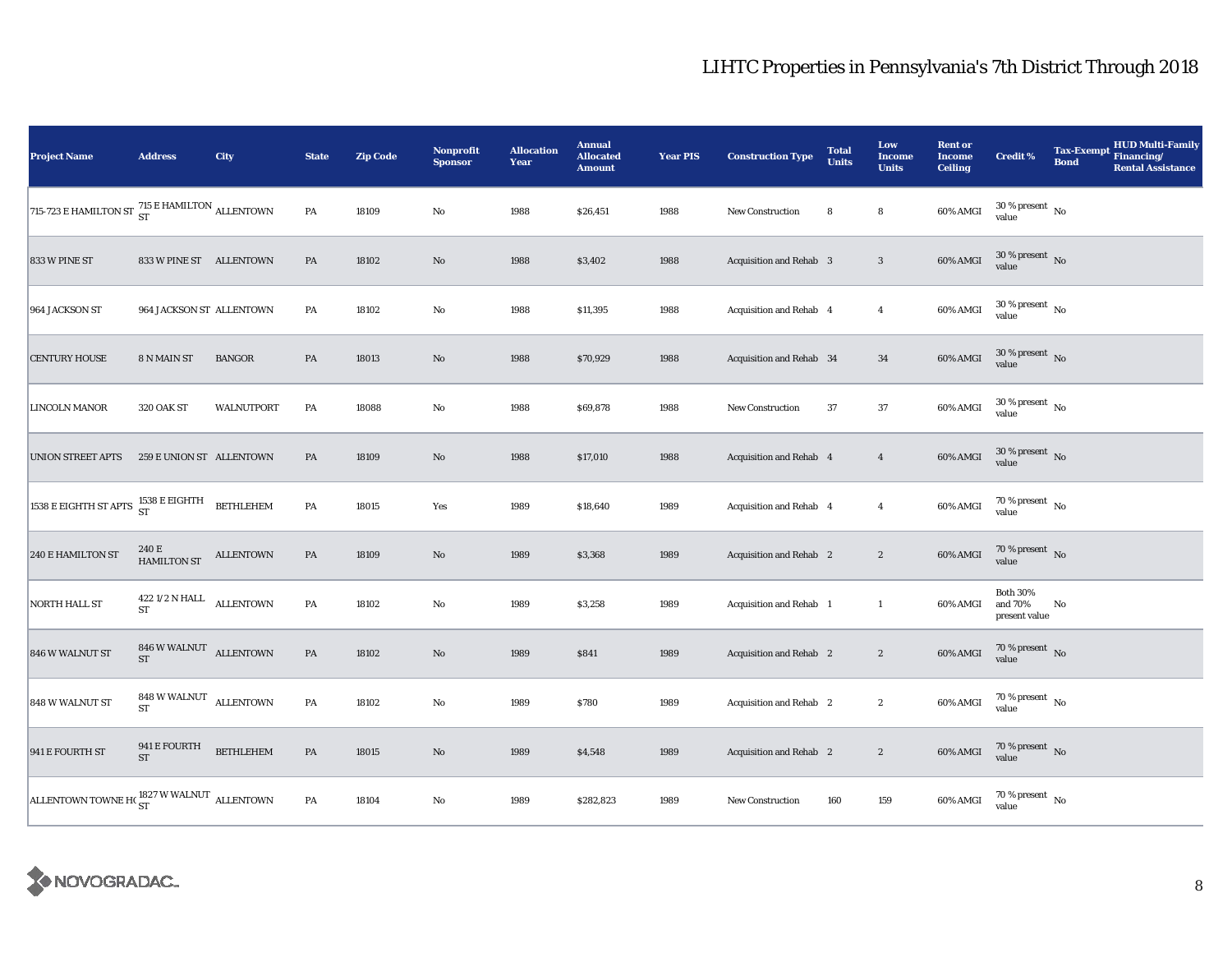| <b>Project Name</b>                                                        | <b>Address</b>                                    | City             | <b>State</b>  | <b>Zip Code</b> | <b>Nonprofit</b><br><b>Sponsor</b> | <b>Allocation</b><br>Year | <b>Annual</b><br><b>Allocated</b><br><b>Amount</b> | <b>Year PIS</b> | <b>Construction Type</b> | <b>Total</b><br><b>Units</b> | Low<br><b>Income</b><br><b>Units</b> | <b>Rent or</b><br><b>Income</b><br><b>Ceiling</b> | <b>Credit %</b>                             | <b>Bond</b> | Tax-Exempt HUD Multi-Family<br><b>Rental Assistance</b> |
|----------------------------------------------------------------------------|---------------------------------------------------|------------------|---------------|-----------------|------------------------------------|---------------------------|----------------------------------------------------|-----------------|--------------------------|------------------------------|--------------------------------------|---------------------------------------------------|---------------------------------------------|-------------|---------------------------------------------------------|
| 715-723 E HAMILTON ST $\frac{715 \text{ E HAMILTON}}{\text{ST}}$ ALLENTOWN |                                                   |                  | ${\bf PA}$    | 18109           | $\rm No$                           | 1988                      | \$26,451                                           | 1988            | <b>New Construction</b>  | 8                            | 8                                    | 60% AMGI                                          | $30\,\%$ present $\,$ No value              |             |                                                         |
| 833 W PINE ST                                                              | 833 W PINE ST ALLENTOWN                           |                  | $\mathbf{PA}$ | 18102           | $\mathbf{N}\mathbf{o}$             | 1988                      | \$3,402                                            | 1988            | Acquisition and Rehab 3  |                              | $\sqrt{3}$                           | 60% AMGI                                          | $30\,\%$ present $\,$ No value              |             |                                                         |
| 964 JACKSON ST                                                             | 964 JACKSON ST ALLENTOWN                          |                  | PA            | 18102           | $\mathbf{No}$                      | 1988                      | \$11,395                                           | 1988            | Acquisition and Rehab 4  |                              | $\overline{4}$                       | 60% AMGI                                          | $30\,\%$ present $\,$ No value              |             |                                                         |
| <b>CENTURY HOUSE</b>                                                       | 8 N MAIN ST                                       | <b>BANGOR</b>    | PA            | 18013           | $\rm No$                           | 1988                      | \$70,929                                           | 1988            | Acquisition and Rehab 34 |                              | 34                                   | 60% AMGI                                          | $30\,\%$ present $\,$ No value              |             |                                                         |
| LINCOLN MANOR                                                              | 320 OAK ST                                        | WALNUTPORT       | PA            | 18088           | $\rm No$                           | 1988                      | \$69,878                                           | 1988            | <b>New Construction</b>  | 37                           | 37                                   | 60% AMGI                                          | $30\,\%$ present $\,$ No value              |             |                                                         |
| <b>UNION STREET APTS</b>                                                   | 259 E UNION ST ALLENTOWN                          |                  | PA            | 18109           | $\rm\thinspace No$                 | 1988                      | \$17,010                                           | 1988            | Acquisition and Rehab 4  |                              | $\overline{4}$                       | 60% AMGI                                          | $30\,\%$ present $\,$ No value              |             |                                                         |
| 1538 E EIGHTH ST APTS $^{1538}_{\rm ST}$ EIGHTH BETHLEHEM                  |                                                   |                  | PA            | 18015           | Yes                                | 1989                      | \$18,640                                           | 1989            | Acquisition and Rehab 4  |                              | $\boldsymbol{4}$                     | 60% AMGI                                          | $70\,\%$ present $\,$ No value              |             |                                                         |
| <b>240 E HAMILTON ST</b>                                                   | 240 E<br><b>HAMILTON ST</b>                       | <b>ALLENTOWN</b> | $\mathbf{PA}$ | 18109           | $\rm\thinspace No$                 | 1989                      | \$3,368                                            | 1989            | Acquisition and Rehab 2  |                              | $\boldsymbol{2}$                     | 60% AMGI                                          | $70\,\%$ present $\,$ No value              |             |                                                         |
| NORTH HALL ST                                                              | $422\,1/2$ N HALL $\quad$ ALLENTOWN<br>${\rm ST}$ |                  | PA            | 18102           | No                                 | 1989                      | \$3,258                                            | 1989            | Acquisition and Rehab 1  |                              | $\mathbf{1}$                         | 60% AMGI                                          | <b>Both 30%</b><br>and 70%<br>present value | No          |                                                         |
| 846 W WALNUT ST                                                            | $846\,\rm{W}\,\rm{WALNUT}$ ALLENTOWN<br><b>ST</b> |                  | $\mathbf{PA}$ | 18102           | $\rm No$                           | 1989                      | \$841                                              | 1989            | Acquisition and Rehab 2  |                              | $\boldsymbol{2}$                     | 60% AMGI                                          | $70\,\%$ present $\,$ No value              |             |                                                         |
| 848 W WALNUT ST                                                            | 848 W WALNUT ALLENTOWN<br><b>ST</b>               |                  | PA            | 18102           | $\rm No$                           | 1989                      | \$780                                              | 1989            | Acquisition and Rehab 2  |                              | $\boldsymbol{2}$                     | 60% AMGI                                          | $70\,\%$ present $\,$ No $\,$<br>value      |             |                                                         |
| 941 E FOURTH ST                                                            | $941\,\mathrm{E}$ FOURTH<br>ST                    | <b>BETHLEHEM</b> | $\mathbf{PA}$ | 18015           | $\rm No$                           | 1989                      | \$4,548                                            | 1989            | Acquisition and Rehab 2  |                              | $\boldsymbol{2}$                     | 60% AMGI                                          | $70\,\%$ present $\,$ No value              |             |                                                         |
| ALLENTOWN TOWNE H( $_{ST}^{1827}$ W WALNUT ALLENTOWN                       |                                                   |                  | $\mathbf{PA}$ | 18104           | $\mathbf{No}$                      | 1989                      | \$282,823                                          | 1989            | New Construction         | 160                          | 159                                  | 60% AMGI                                          | $70\,\%$ present $\,$ No value              |             |                                                         |